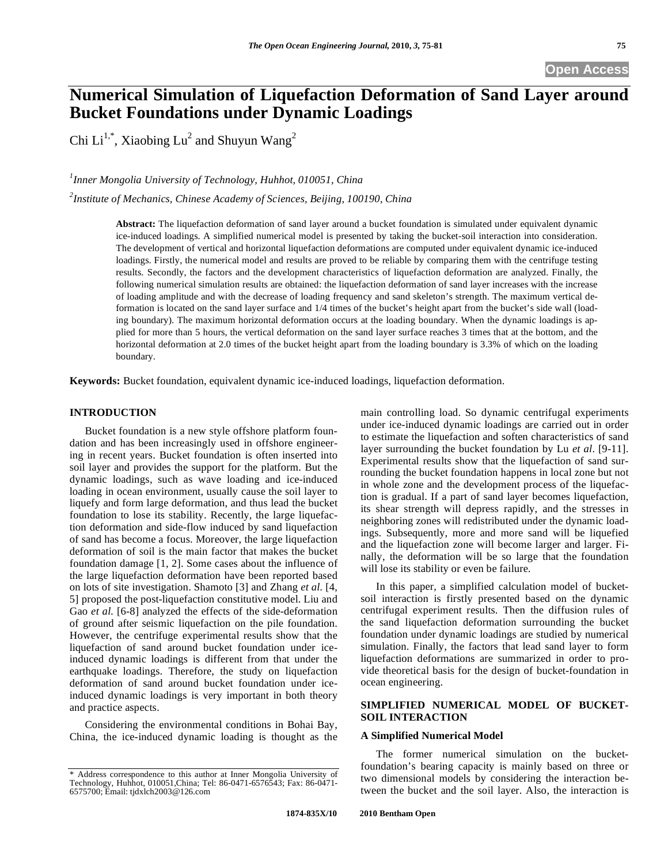# **Numerical Simulation of Liquefaction Deformation of Sand Layer around Bucket Foundations under Dynamic Loadings**

Chi Li<sup>1,\*</sup>, Xiaobing Lu<sup>2</sup> and Shuyun Wang<sup>2</sup>

# *1 Inner Mongolia University of Technology, Huhhot, 010051, China*

*2 Institute of Mechanics, Chinese Academy of Sciences, Beijing, 100190, China* 

**Abstract:** The liquefaction deformation of sand layer around a bucket foundation is simulated under equivalent dynamic ice-induced loadings. A simplified numerical model is presented by taking the bucket-soil interaction into consideration. The development of vertical and horizontal liquefaction deformations are computed under equivalent dynamic ice-induced loadings. Firstly, the numerical model and results are proved to be reliable by comparing them with the centrifuge testing results. Secondly, the factors and the development characteristics of liquefaction deformation are analyzed. Finally, the following numerical simulation results are obtained: the liquefaction deformation of sand layer increases with the increase of loading amplitude and with the decrease of loading frequency and sand skeleton's strength. The maximum vertical deformation is located on the sand layer surface and 1/4 times of the bucket's height apart from the bucket's side wall (loading boundary). The maximum horizontal deformation occurs at the loading boundary. When the dynamic loadings is applied for more than 5 hours, the vertical deformation on the sand layer surface reaches 3 times that at the bottom, and the horizontal deformation at 2.0 times of the bucket height apart from the loading boundary is 3.3% of which on the loading boundary.

**Keywords:** Bucket foundation, equivalent dynamic ice-induced loadings, liquefaction deformation.

# **INTRODUCTION**

Bucket foundation is a new style offshore platform foundation and has been increasingly used in offshore engineering in recent years. Bucket foundation is often inserted into soil layer and provides the support for the platform. But the dynamic loadings, such as wave loading and ice-induced loading in ocean environment, usually cause the soil layer to liquefy and form large deformation, and thus lead the bucket foundation to lose its stability. Recently, the large liquefaction deformation and side-flow induced by sand liquefaction of sand has become a focus. Moreover, the large liquefaction deformation of soil is the main factor that makes the bucket foundation damage [1, 2]. Some cases about the influence of the large liquefaction deformation have been reported based on lots of site investigation. Shamoto [3] and Zhang *et al.* [4, 5] proposed the post-liquefaction constitutive model. Liu and Gao *et al.* [6-8] analyzed the effects of the side-deformation of ground after seismic liquefaction on the pile foundation. However, the centrifuge experimental results show that the liquefaction of sand around bucket foundation under iceinduced dynamic loadings is different from that under the earthquake loadings. Therefore, the study on liquefaction deformation of sand around bucket foundation under iceinduced dynamic loadings is very important in both theory and practice aspects.

Considering the environmental conditions in Bohai Bay, China, the ice-induced dynamic loading is thought as the main controlling load. So dynamic centrifugal experiments under ice-induced dynamic loadings are carried out in order to estimate the liquefaction and soften characteristics of sand layer surrounding the bucket foundation by Lu *et al*. [9-11]. Experimental results show that the liquefaction of sand surrounding the bucket foundation happens in local zone but not in whole zone and the development process of the liquefaction is gradual. If a part of sand layer becomes liquefaction, its shear strength will depress rapidly, and the stresses in neighboring zones will redistributed under the dynamic loadings. Subsequently, more and more sand will be liquefied and the liquefaction zone will become larger and larger. Finally, the deformation will be so large that the foundation will lose its stability or even be failure.

In this paper, a simplified calculation model of bucketsoil interaction is firstly presented based on the dynamic centrifugal experiment results. Then the diffusion rules of the sand liquefaction deformation surrounding the bucket foundation under dynamic loadings are studied by numerical simulation. Finally, the factors that lead sand layer to form liquefaction deformations are summarized in order to provide theoretical basis for the design of bucket-foundation in ocean engineering.

## **SIMPLIFIED NUMERICAL MODEL OF BUCKET-SOIL INTERACTION**

### **A Simplified Numerical Model**

The former numerical simulation on the bucketfoundation's bearing capacity is mainly based on three or two dimensional models by considering the interaction between the bucket and the soil layer. Also, the interaction is

<sup>\*</sup> Address correspondence to this author at Inner Mongolia University of Technology, Huhhot, 010051,China; Tel: 86-0471-6576543; Fax: 86-0471- 6575700; Email: tjdxlch2003@126.com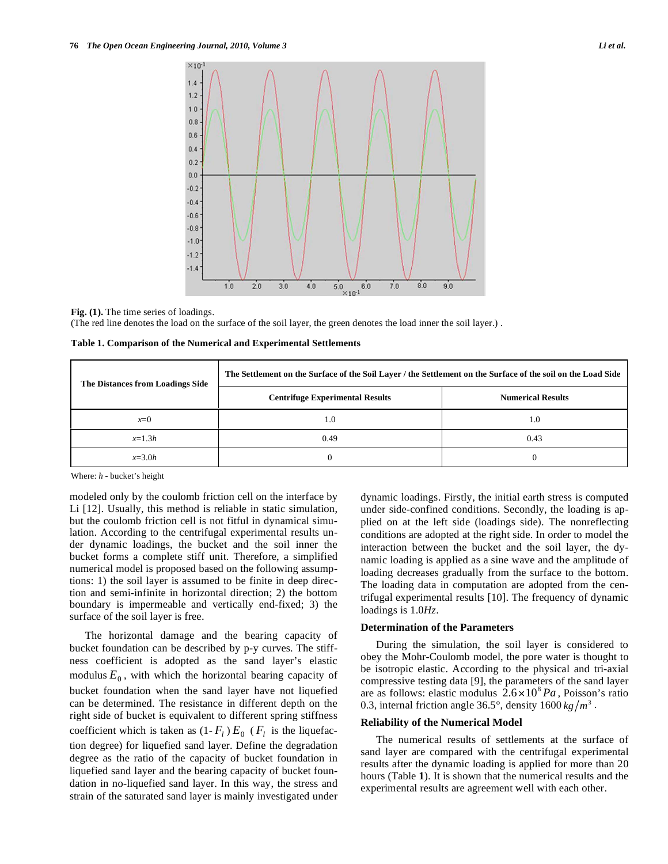

**Fig. (1).** The time series of loadings. (The red line denotes the load on the surface of the soil layer, the green denotes the load inner the soil layer.) .

| Table 1. Comparison of the Numerical and Experimental Settlements |
|-------------------------------------------------------------------|
|-------------------------------------------------------------------|

| The Distances from Loadings Side | The Settlement on the Surface of the Soil Layer / the Settlement on the Surface of the soil on the Load Side |                          |
|----------------------------------|--------------------------------------------------------------------------------------------------------------|--------------------------|
|                                  | <b>Centrifuge Experimental Results</b>                                                                       | <b>Numerical Results</b> |
| $x=0$                            | 1.0                                                                                                          | 1.0                      |
| $x=1.3h$                         | 0.49                                                                                                         | 0.43                     |
| $x=3.0h$                         | $\theta$                                                                                                     |                          |

Where: *h* - bucket's height

modeled only by the coulomb friction cell on the interface by Li [12]. Usually, this method is reliable in static simulation, but the coulomb friction cell is not fitful in dynamical simulation. According to the centrifugal experimental results under dynamic loadings, the bucket and the soil inner the bucket forms a complete stiff unit. Therefore, a simplified numerical model is proposed based on the following assumptions: 1) the soil layer is assumed to be finite in deep direction and semi-infinite in horizontal direction; 2) the bottom boundary is impermeable and vertically end-fixed; 3) the surface of the soil layer is free.

The horizontal damage and the bearing capacity of bucket foundation can be described by p-y curves. The stiffness coefficient is adopted as the sand layer's elastic modulus  $E_0$ , with which the horizontal bearing capacity of bucket foundation when the sand layer have not liquefied can be determined. The resistance in different depth on the right side of bucket is equivalent to different spring stiffness coefficient which is taken as  $(1 - F_l) E_0$  ( $F_l$  is the liquefaction degree) for liquefied sand layer. Define the degradation degree as the ratio of the capacity of bucket foundation in liquefied sand layer and the bearing capacity of bucket foundation in no-liquefied sand layer. In this way, the stress and strain of the saturated sand layer is mainly investigated under dynamic loadings. Firstly, the initial earth stress is computed under side-confined conditions. Secondly, the loading is applied on at the left side (loadings side). The nonreflecting conditions are adopted at the right side. In order to model the interaction between the bucket and the soil layer, the dynamic loading is applied as a sine wave and the amplitude of loading decreases gradually from the surface to the bottom. The loading data in computation are adopted from the centrifugal experimental results [10]. The frequency of dynamic loadings is 1.0*Hz*.

#### **Determination of the Parameters**

During the simulation, the soil layer is considered to obey the Mohr-Coulomb model, the pore water is thought to be isotropic elastic. According to the physical and tri-axial compressive testing data [9], the parameters of the sand layer are as follows: elastic modulus  $2.6 \times 10^8 Pa$ , Poisson's ratio 0.3, internal friction angle 36.5°, density  $1600 \frac{kg}{m^3}$ .

#### **Reliability of the Numerical Model**

The numerical results of settlements at the surface of sand layer are compared with the centrifugal experimental results after the dynamic loading is applied for more than 20 hours (Table **1**). It is shown that the numerical results and the experimental results are agreement well with each other.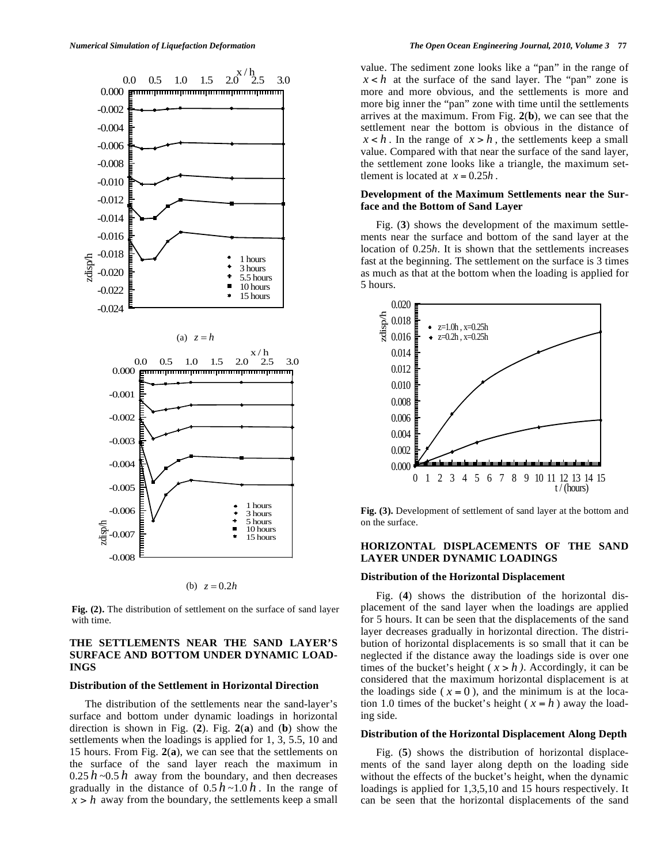

(b)  $z = 0.2h$ 

**Fig. (2).** The distribution of settlement on the surface of sand layer with time.

# **THE SETTLEMENTS NEAR THE SAND LAYER'S SURFACE AND BOTTOM UNDER DYNAMIC LOAD-INGS**

## **Distribution of the Settlement in Horizontal Direction**

The distribution of the settlements near the sand-layer's surface and bottom under dynamic loadings in horizontal direction is shown in Fig. (**2**). Fig. **2**(**a**) and (**b**) show the settlements when the loadings is applied for 1, 3, 5.5, 10 and 15 hours. From Fig. **2**(**a**), we can see that the settlements on the surface of the sand layer reach the maximum in  $0.25 h$  ~0.5 *h* away from the boundary, and then decreases gradually in the distance of  $0.5 h \sim 1.0 h$ . In the range of  $x > h$  away from the boundary, the settlements keep a small value. The sediment zone looks like a "pan" in the range of  $x < h$  at the surface of the sand layer. The "pan" zone is more and more obvious, and the settlements is more and more big inner the "pan" zone with time until the settlements arrives at the maximum. From Fig. **2**(**b**), we can see that the settlement near the bottom is obvious in the distance of  $x < h$ . In the range of  $x > h$ , the settlements keep a small value. Compared with that near the surface of the sand layer, the settlement zone looks like a triangle, the maximum settlement is located at  $x = 0.25h$ .

## **Development of the Maximum Settlements near the Surface and the Bottom of Sand Layer**

Fig. (**3**) shows the development of the maximum settlements near the surface and bottom of the sand layer at the location of 0.25*h*. It is shown that the settlements increases fast at the beginning. The settlement on the surface is 3 times as much as that at the bottom when the loading is applied for 5 hours.



**Fig. (3).** Development of settlement of sand layer at the bottom and on the surface.

# **HORIZONTAL DISPLACEMENTS OF THE SAND LAYER UNDER DYNAMIC LOADINGS**

#### **Distribution of the Horizontal Displacement**

Fig. (**4**) shows the distribution of the horizontal displacement of the sand layer when the loadings are applied for 5 hours. It can be seen that the displacements of the sand layer decreases gradually in horizontal direction. The distribution of horizontal displacements is so small that it can be neglected if the distance away the loadings side is over one times of the bucket's height ( $x > h$ ). Accordingly, it can be considered that the maximum horizontal displacement is at the loadings side ( $x = 0$ ), and the minimum is at the location 1.0 times of the bucket's height ( $x = h$ ) away the loading side.

#### **Distribution of the Horizontal Displacement Along Depth**

Fig. (**5**) shows the distribution of horizontal displacements of the sand layer along depth on the loading side without the effects of the bucket's height, when the dynamic loadings is applied for 1,3,5,10 and 15 hours respectively. It can be seen that the horizontal displacements of the sand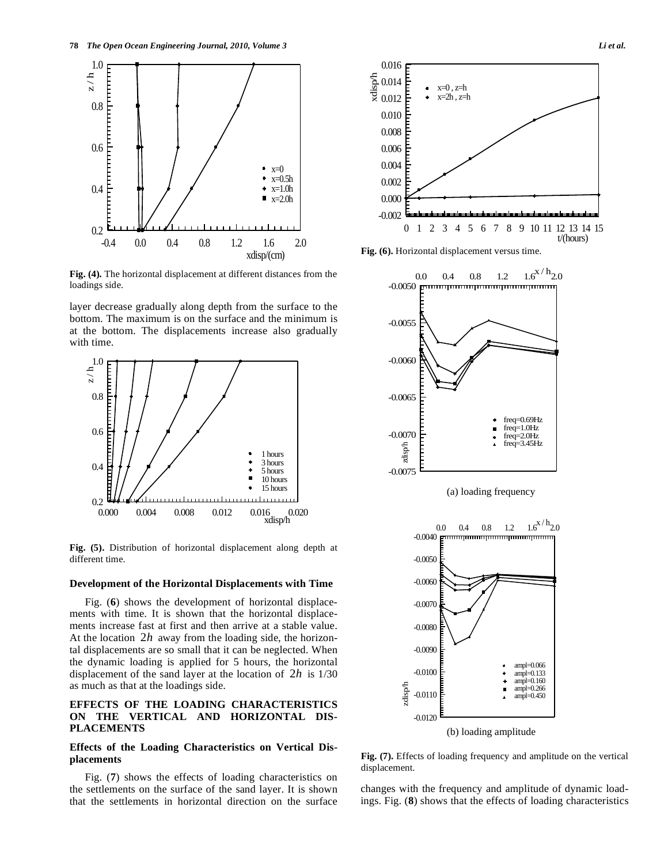

**Fig. (4).** The horizontal displacement at different distances from the loadings side.

layer decrease gradually along depth from the surface to the bottom. The maximum is on the surface and the minimum is at the bottom. The displacements increase also gradually with time.



**Fig. (5).** Distribution of horizontal displacement along depth at different time.

#### **Development of the Horizontal Displacements with Time**

Fig. (**6**) shows the development of horizontal displacements with time. It is shown that the horizontal displacements increase fast at first and then arrive at a stable value. At the location 2*h* away from the loading side, the horizontal displacements are so small that it can be neglected. When the dynamic loading is applied for 5 hours, the horizontal displacement of the sand layer at the location of 2*h* is 1/30 as much as that at the loadings side.

# **EFFECTS OF THE LOADING CHARACTERISTICS ON THE VERTICAL AND HORIZONTAL DIS-PLACEMENTS**

# **Effects of the Loading Characteristics on Vertical Displacements**

Fig. (**7**) shows the effects of loading characteristics on the settlements on the surface of the sand layer. It is shown that the settlements in horizontal direction on the surface



**Fig. (6).** Horizontal displacement versus time.



 $-0.0060$ -0.0070 -0.0080 -0.0090 ampl=0.066 -0.0100 ampl=0.133 ampl=0.160 ÷ zdisp/h  $ampl=0.266$  $\blacksquare$ -0.0110  $ampl=0.450$ -0.0120

(b) loading amplitude

**Fig. (7).** Effects of loading frequency and amplitude on the vertical displacement.

changes with the frequency and amplitude of dynamic loadings. Fig. (**8**) shows that the effects of loading characteristics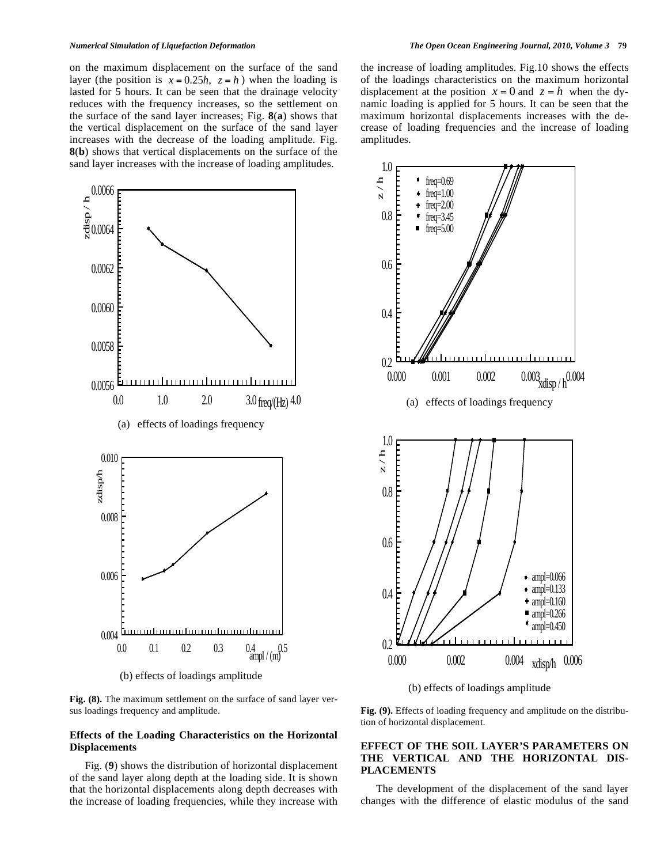on the maximum displacement on the surface of the sand layer (the position is  $x = 0.25h$ ,  $z = h$ ) when the loading is lasted for 5 hours. It can be seen that the drainage velocity reduces with the frequency increases, so the settlement on the surface of the sand layer increases; Fig. **8**(**a**) shows that the vertical displacement on the surface of the sand layer increases with the decrease of the loading amplitude. Fig. **8**(**b**) shows that vertical displacements on the surface of the sand layer increases with the increase of loading amplitudes.



(b) effects of loadings amplitude

**Fig. (8).** The maximum settlement on the surface of sand layer versus loadings frequency and amplitude.

## **Effects of the Loading Characteristics on the Horizontal Displacements**

Fig. (**9**) shows the distribution of horizontal displacement of the sand layer along depth at the loading side. It is shown that the horizontal displacements along depth decreases with the increase of loading frequencies, while they increase with the increase of loading amplitudes. Fig.10 shows the effects of the loadings characteristics on the maximum horizontal displacement at the position  $x = 0$  and  $z = h$  when the dynamic loading is applied for 5 hours. It can be seen that the maximum horizontal displacements increases with the decrease of loading frequencies and the increase of loading amplitudes.



(b) effects of loadings amplitude

**Fig. (9).** Effects of loading frequency and amplitude on the distribution of horizontal displacement.

## **EFFECT OF THE SOIL LAYER'S PARAMETERS ON THE VERTICAL AND THE HORIZONTAL DIS-PLACEMENTS**

The development of the displacement of the sand layer changes with the difference of elastic modulus of the sand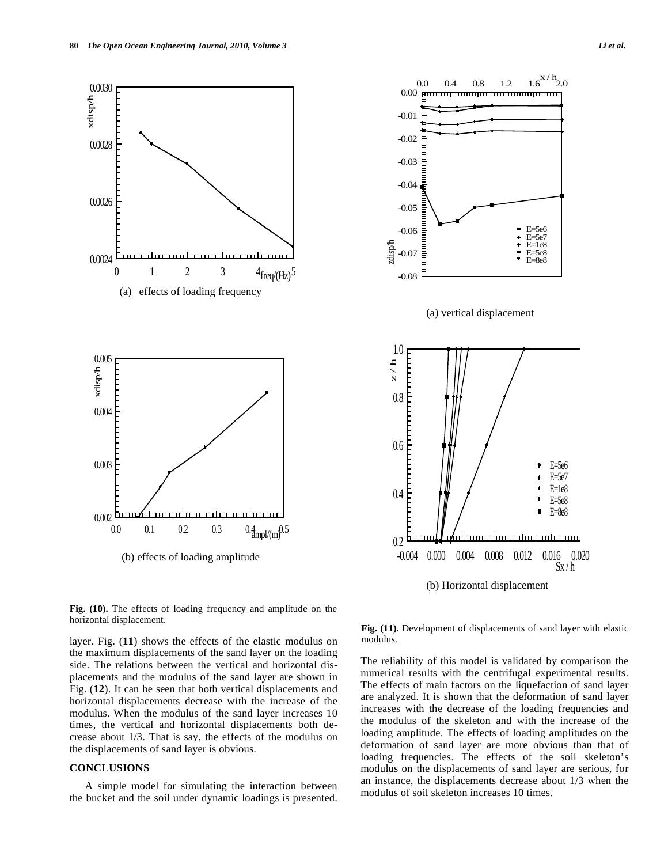



**Fig. (10).** The effects of loading frequency and amplitude on the horizontal displacement. **Fig. (11).** Development of displacements of sand layer with elastic

layer. Fig. (**11**) shows the effects of the elastic modulus on the maximum displacements of the sand layer on the loading side. The relations between the vertical and horizontal displacements and the modulus of the sand layer are shown in Fig. (**12**). It can be seen that both vertical displacements and horizontal displacements decrease with the increase of the modulus. When the modulus of the sand layer increases 10 times, the vertical and horizontal displacements both decrease about 1/3. That is say, the effects of the modulus on the displacements of sand layer is obvious.

# **CONCLUSIONS**

A simple model for simulating the interaction between the bucket and the soil under dynamic loadings is presented.

modulus.

The reliability of this model is validated by comparison the numerical results with the centrifugal experimental results. The effects of main factors on the liquefaction of sand layer are analyzed. It is shown that the deformation of sand layer increases with the decrease of the loading frequencies and the modulus of the skeleton and with the increase of the loading amplitude. The effects of loading amplitudes on the deformation of sand layer are more obvious than that of loading frequencies. The effects of the soil skeleton's modulus on the displacements of sand layer are serious, for an instance, the displacements decrease about 1/3 when the modulus of soil skeleton increases 10 times.